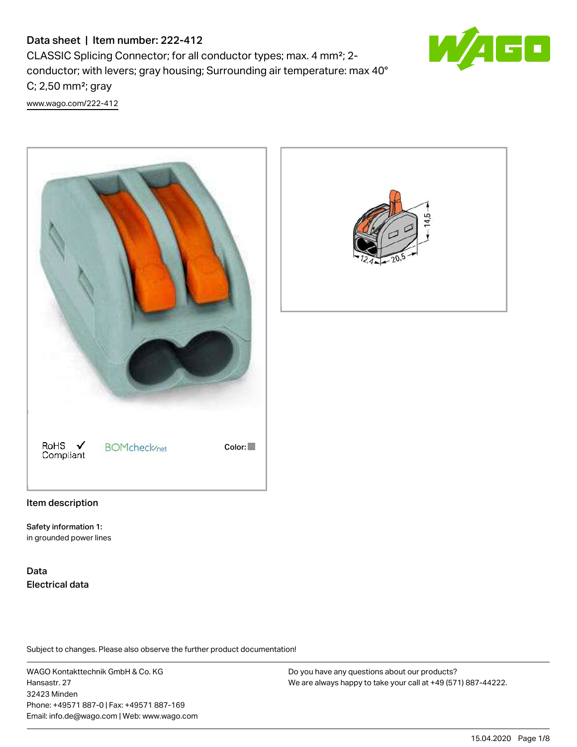# Data sheet | Item number: 222-412

CLASSIC Splicing Connector; for all conductor types; max. 4 mm²; 2 conductor; with levers; gray housing; Surrounding air temperature: max 40° C; 2,50 mm²; gray [www.wago.com/222-412](http://www.wago.com/222-412)







#### Item description

Safety information 1: in grounded power lines

Data Electrical data

Subject to changes. Please also observe the further product documentation!

WAGO Kontakttechnik GmbH & Co. KG Hansastr. 27 32423 Minden Phone: +49571 887-0 | Fax: +49571 887-169 Email: info.de@wago.com | Web: www.wago.com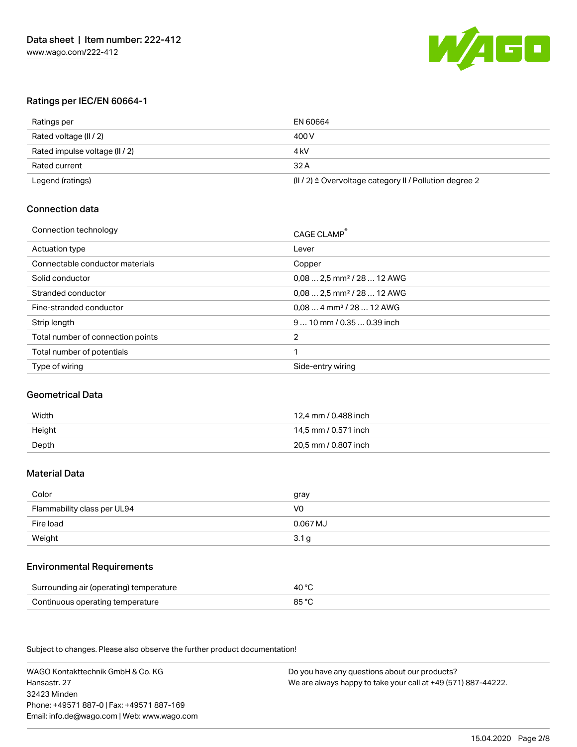

# Ratings per IEC/EN 60664-1

| Ratings per                    | EN 60664                                                           |
|--------------------------------|--------------------------------------------------------------------|
| Rated voltage (II / 2)         | 400 V                                                              |
| Rated impulse voltage (II / 2) | 4 kV                                                               |
| Rated current                  | 32 A                                                               |
| Legend (ratings)               | $(  /2)$ $\triangleq$ Overvoltage category II / Pollution degree 2 |

# Connection data

| Connection technology             | CAGE CLAMP®                             |
|-----------------------------------|-----------------------------------------|
| Actuation type                    | Lever                                   |
| Connectable conductor materials   | Copper                                  |
| Solid conductor                   | $0.08$ 2.5 mm <sup>2</sup> / 28  12 AWG |
| Stranded conductor                | $0.08$ 2.5 mm <sup>2</sup> / 28  12 AWG |
| Fine-stranded conductor           | $0.084$ mm <sup>2</sup> / 28  12 AWG    |
| Strip length                      | $910$ mm / 0.35  0.39 inch              |
| Total number of connection points | 2                                       |
| Total number of potentials        |                                         |
| Type of wiring                    | Side-entry wiring                       |

#### Geometrical Data

| Width  | 12.4 mm / 0.488 inch |
|--------|----------------------|
| Height | 14.5 mm / 0.571 inch |
| Depth  | 20.5 mm / 0.807 inch |

# Material Data

| Color                                            | gray             |
|--------------------------------------------------|------------------|
| Flammability class per UL94                      | V0               |
| Fire load                                        | $0.067$ MJ       |
| Weight<br>the control of the control of the con- | 3.1 <sub>g</sub> |

## Environmental Requirements

| Surrounding air (operating) temperature | 40 °C |
|-----------------------------------------|-------|
| Continuous operating temperature        | 85 °C |

Subject to changes. Please also observe the further product documentation!

WAGO Kontakttechnik GmbH & Co. KG Hansastr. 27 32423 Minden Phone: +49571 887-0 | Fax: +49571 887-169 Email: info.de@wago.com | Web: www.wago.com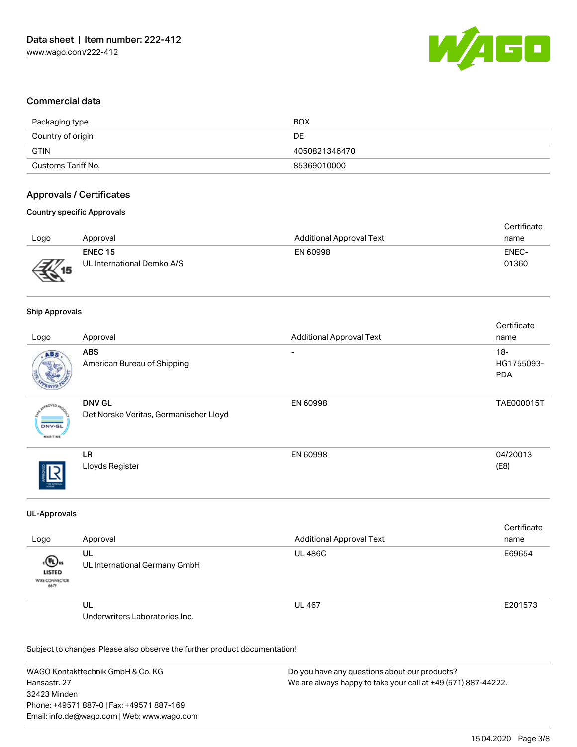

# Commercial data

| Packaging type     | <b>BOX</b>    |
|--------------------|---------------|
| Country of origin  | DE            |
| <b>GTIN</b>        | 4050821346470 |
| Customs Tariff No. | 85369010000   |

# Approvals / Certificates

#### Country specific Approvals

|      |                            |                                 | Certificate |
|------|----------------------------|---------------------------------|-------------|
| Logo | Approval                   | <b>Additional Approval Text</b> | name        |
|      | <b>ENEC 15</b>             | EN 60998                        | ENEC-       |
|      | UL International Demko A/S |                                 | 01360       |
|      |                            |                                 |             |

#### Ship Approvals

| Logo                                      | Approval                                                | <b>Additional Approval Text</b> | Certificate<br>name                |
|-------------------------------------------|---------------------------------------------------------|---------------------------------|------------------------------------|
| ABS.                                      | <b>ABS</b><br>American Bureau of Shipping               | $\overline{\phantom{0}}$        | $18 -$<br>HG1755093-<br><b>PDA</b> |
| aCVED<br><b>DNV-GL</b><br><b>MARITIME</b> | <b>DNV GL</b><br>Det Norske Veritas, Germanischer Lloyd | EN 60998                        | TAE000015T                         |
| THE APROVAL                               | LR<br>Lloyds Register                                   | EN 60998                        | 04/20013<br>(E8)                   |

#### UL-Approvals

| Logo                                           | Approval                             | <b>Additional Approval Text</b> | Certificate<br>name |
|------------------------------------------------|--------------------------------------|---------------------------------|---------------------|
| «®»<br><b>LISTED</b><br>WIRE CONNECTOR<br>667F | UL<br>UL International Germany GmbH  | <b>UL 486C</b>                  | E69654              |
|                                                | UL<br>Underwriters Laboratories Inc. | <b>UL 467</b>                   | E201573             |

Subject to changes. Please also observe the further product documentation!

WAGO Kontakttechnik GmbH & Co. KG Hansastr. 27 32423 Minden Phone: +49571 887-0 | Fax: +49571 887-169 Email: info.de@wago.com | Web: www.wago.com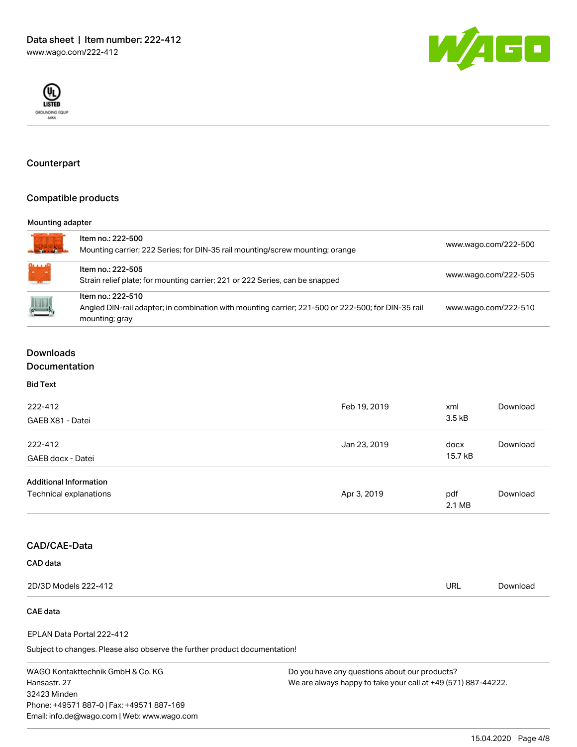



# Counterpart

## Compatible products

#### Mounting adapter

| $\mathbf{v} = \mathbf{v} + \mathbf{v} + \mathbf{v}$ | Item no.: 222-500<br>Mounting carrier; 222 Series; for DIN-35 rail mounting/screw mounting; orange                                        | www.wago.com/222-500 |
|-----------------------------------------------------|-------------------------------------------------------------------------------------------------------------------------------------------|----------------------|
| WHE<br><b><i>Channel</i></b>                        | Item no.: 222-505<br>Strain relief plate; for mounting carrier; 221 or 222 Series, can be snapped                                         | www.wago.com/222-505 |
| $\begin{array}{c} \hline \end{array}$               | Item no.: 222-510<br>Angled DIN-rail adapter; in combination with mounting carrier; 221-500 or 222-500; for DIN-35 rail<br>mounting; gray | www.wago.com/222-510 |

# Downloads

# Documentation

Bid Text

| 222-412<br>GAEB X81 - Datei                             | Feb 19, 2019 | xml<br>3.5 <sub>kB</sub> | Download |
|---------------------------------------------------------|--------------|--------------------------|----------|
| 222-412<br>GAEB docx - Datei                            | Jan 23, 2019 | docx<br>15.7 kB          | Download |
| <b>Additional Information</b><br>Technical explanations | Apr 3, 2019  | pdf<br>2.1 MB            | Download |

# CAD/CAE-Data

#### CAD data

| 2D/3D Models 222-412 | <b>URL</b> | Download |
|----------------------|------------|----------|
|                      |            |          |

# CAE data

#### EPLAN Data Portal 222-412

Subject to changes. Please also observe the further product documentation!

WAGO Kontakttechnik GmbH & Co. KG Hansastr. 27 32423 Minden Phone: +49571 887-0 | Fax: +49571 887-169 Email: info.de@wago.com | Web: www.wago.com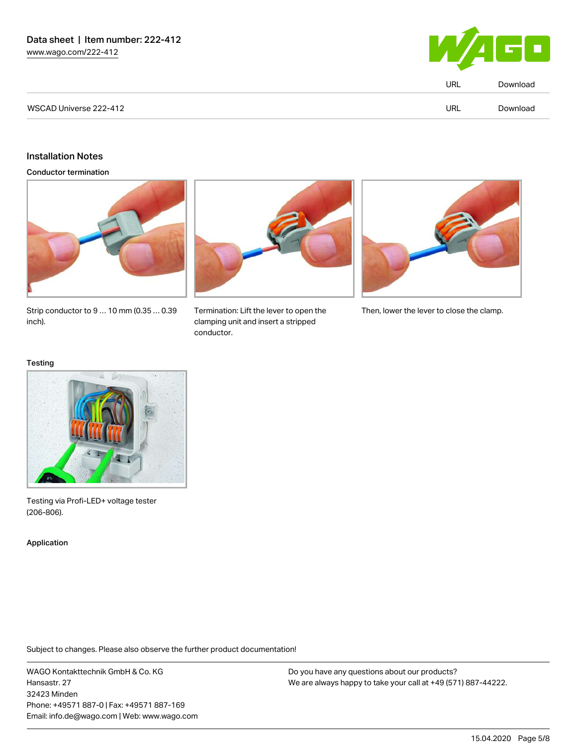

|                        | <b>URL</b> | Download |
|------------------------|------------|----------|
| WSCAD Universe 222-412 | <b>URL</b> | Download |

# Installation Notes

Conductor termination







Strip conductor to 9 … 10 mm (0.35 … 0.39 inch).

clamping unit and insert a stripped conductor.

Termination: Lift the lever to open the Then, lower the lever to close the clamp.

#### **Testing**



Testing via Profi-LED+ voltage tester (206‑806).

Application

Subject to changes. Please also observe the further product documentation!

WAGO Kontakttechnik GmbH & Co. KG Hansastr. 27 32423 Minden Phone: +49571 887-0 | Fax: +49571 887-169 Email: info.de@wago.com | Web: www.wago.com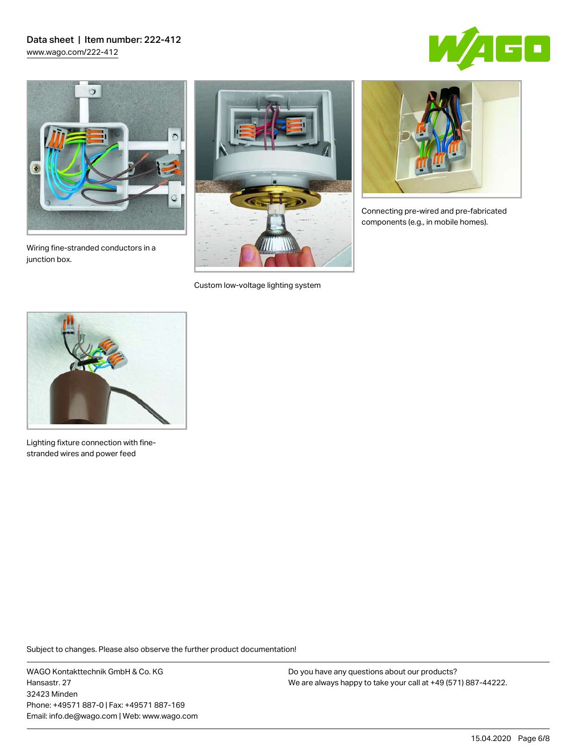# Data sheet | Item number: 222-412 [www.wago.com/222-412](http://www.wago.com/222-412)





Wiring fine-stranded conductors in a junction box.



Custom low-voltage lighting system



Connecting pre-wired and pre-fabricated components (e.g., in mobile homes).



Lighting fixture connection with finestranded wires and power feed

Subject to changes. Please also observe the further product documentation!

WAGO Kontakttechnik GmbH & Co. KG Hansastr. 27 32423 Minden Phone: +49571 887-0 | Fax: +49571 887-169 Email: info.de@wago.com | Web: www.wago.com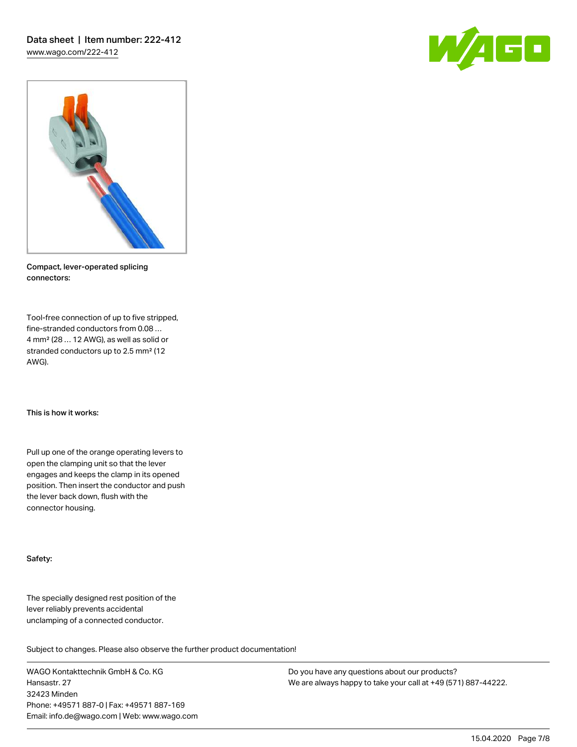



Compact, lever-operated splicing connectors:

Tool-free connection of up to five stripped, fine-stranded conductors from 0.08 … 4 mm² (28 … 12 AWG), as well as solid or stranded conductors up to 2.5 mm² (12 AWG).

This is how it works:

Pull up one of the orange operating levers to open the clamping unit so that the lever engages and keeps the clamp in its opened position. Then insert the conductor and push the lever back down, flush with the connector housing.

#### Safety:

The specially designed rest position of the lever reliably prevents accidental unclamping of a connected conductor.

Subject to changes. Please also observe the further product documentation!

WAGO Kontakttechnik GmbH & Co. KG Hansastr. 27 32423 Minden Phone: +49571 887-0 | Fax: +49571 887-169 Email: info.de@wago.com | Web: www.wago.com